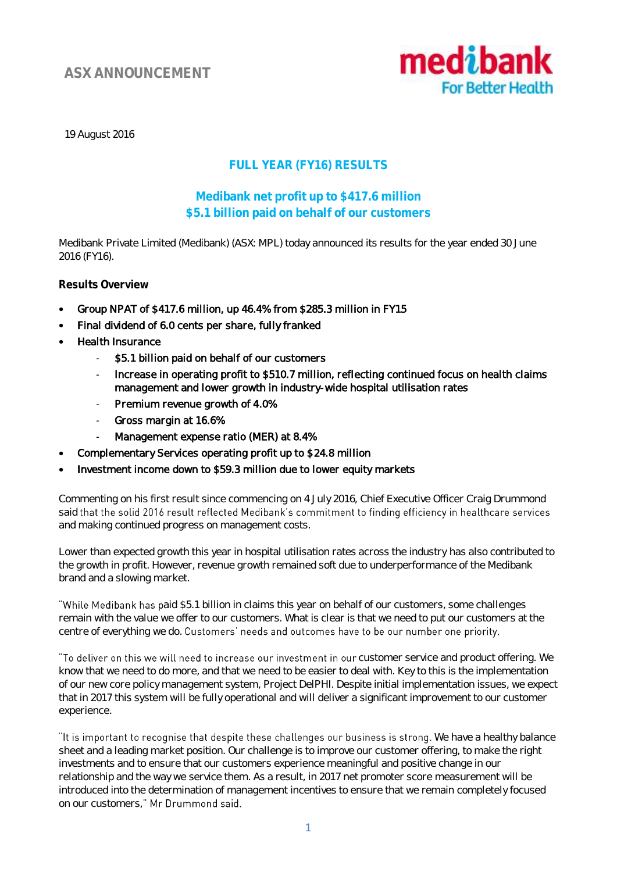# **ASX ANNOUNCEMENT**



19 August 2016

## **FULL YEAR (FY16) RESULTS**

## **Medibank net profit up to \$417.6 million \$5.1 billion paid on behalf of our customers**

Medibank Private Limited (Medibank) (ASX: MPL) today announced its results for the year ended 30 June 2016 (FY16).

**Results Overview**

- Group NPAT of \$417.6 million, up 46.4% from \$285.3 million in FY15
- Final dividend of 6.0 cents per share, fully franked
- Health Insurance
	- \$5.1 billion paid on behalf of our customers
	- Increase in operating profit to \$510.7 million, reflecting continued focus on health claims management and lower growth in industry-wide hospital utilisation rates
	- Premium revenue growth of 4.0%
	- Gross margin at 16.6%
	- Management expense ratio (MER) at 8.4%
- Complementary Services operating profit up to \$24.8 million
- Investment income down to \$59.3 million due to lower equity markets

Commenting on his first result since commencing on 4 July 2016, Chief Executive Officer Craig Drummond said that the solid 2016 result reflected Medibank's commitment to finding efficiency in healthcare services and making continued progress on management costs.

Lower than expected growth this year in hospital utilisation rates across the industry has also contributed to the growth in profit. However, revenue growth remained soft due to underperformance of the Medibank brand and a slowing market.

"While Medibank has paid \$5.1 billion in claims this year on behalf of our customers, some challenges remain with the value we offer to our customers. What is clear is that we need to put our customers at the centre of everything we do. Customers' needs and outcomes have to be our number one priority.

"To deliver on this we will need to increase our investment in our customer service and product offering. We know that we need to do more, and that we need to be easier to deal with. Key to this is the implementation of our new core policy management system, Project DelPHI. Despite initial implementation issues, we expect that in 2017 this system will be fully operational and will deliver a significant improvement to our customer experience.

"It is important to recognise that despite these challenges our business is strong. We have a healthy balance sheet and a leading market position. Our challenge is to improve our customer offering, to make the right investments and to ensure that our customers experience meaningful and positive change in our relationship and the way we service them. As a result, in 2017 net promoter score measurement will be introduced into the determination of management incentives to ensure that we remain completely focused on our customers," Mr Drummond said.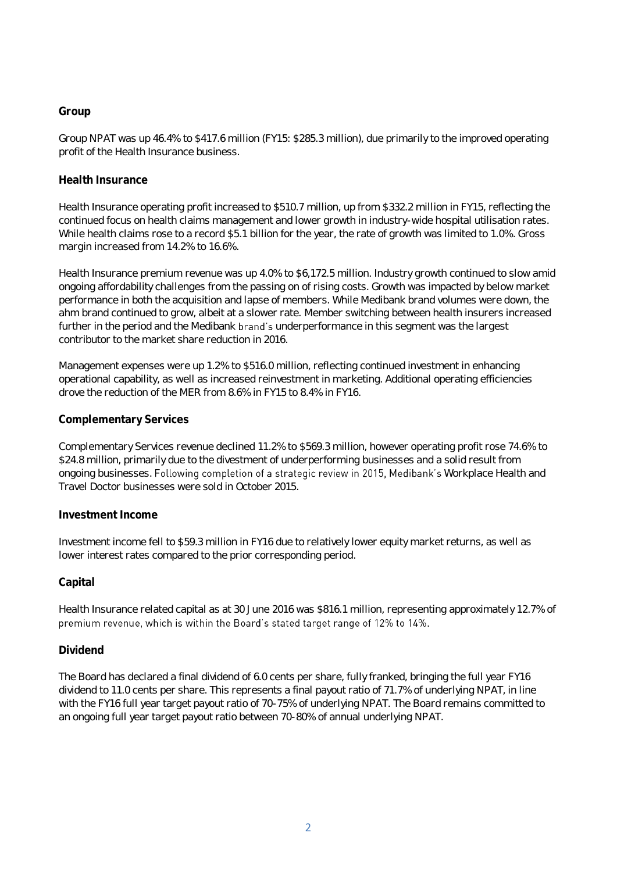#### **Group**

Group NPAT was up 46.4% to \$417.6 million (FY15: \$285.3 million), due primarily to the improved operating profit of the Health Insurance business.

#### **Health Insurance**

Health Insurance operating profit increased to \$510.7 million, up from \$332.2 million in FY15, reflecting the continued focus on health claims management and lower growth in industry-wide hospital utilisation rates. While health claims rose to a record \$5.1 billion for the year, the rate of growth was limited to 1.0%. Gross margin increased from 14.2% to 16.6%.

Health Insurance premium revenue was up 4.0% to \$6,172.5 million. Industry growth continued to slow amid ongoing affordability challenges from the passing on of rising costs. Growth was impacted by below market performance in both the acquisition and lapse of members. While Medibank brand volumes were down, the ahm brand continued to grow, albeit at a slower rate. Member switching between health insurers increased further in the period and the Medibank brand's underperformance in this segment was the largest contributor to the market share reduction in 2016.

Management expenses were up 1.2% to \$516.0 million, reflecting continued investment in enhancing operational capability, as well as increased reinvestment in marketing. Additional operating efficiencies drove the reduction of the MER from 8.6% in FY15 to 8.4% in FY16.

### **Complementary Services**

Complementary Services revenue declined 11.2% to \$569.3 million, however operating profit rose 74.6% to \$24.8 million, primarily due to the divestment of underperforming businesses and a solid result from ongoing businesses. Following completion of a strategic review in 2015, Medibank's Workplace Health and Travel Doctor businesses were sold in October 2015.

#### **Investment Income**

Investment income fell to \$59.3 million in FY16 due to relatively lower equity market returns, as well as lower interest rates compared to the prior corresponding period.

### **Capital**

Health Insurance related capital as at 30 June 2016 was \$816.1 million, representing approximately 12.7% of premium revenue, which is within the Board's stated target range of 12% to 14%.

#### **Dividend**

The Board has declared a final dividend of 6.0 cents per share, fully franked, bringing the full year FY16 dividend to 11.0 cents per share. This represents a final payout ratio of 71.7% of underlying NPAT, in line with the FY16 full year target payout ratio of 70-75% of underlying NPAT. The Board remains committed to an ongoing full year target payout ratio between 70-80% of annual underlying NPAT.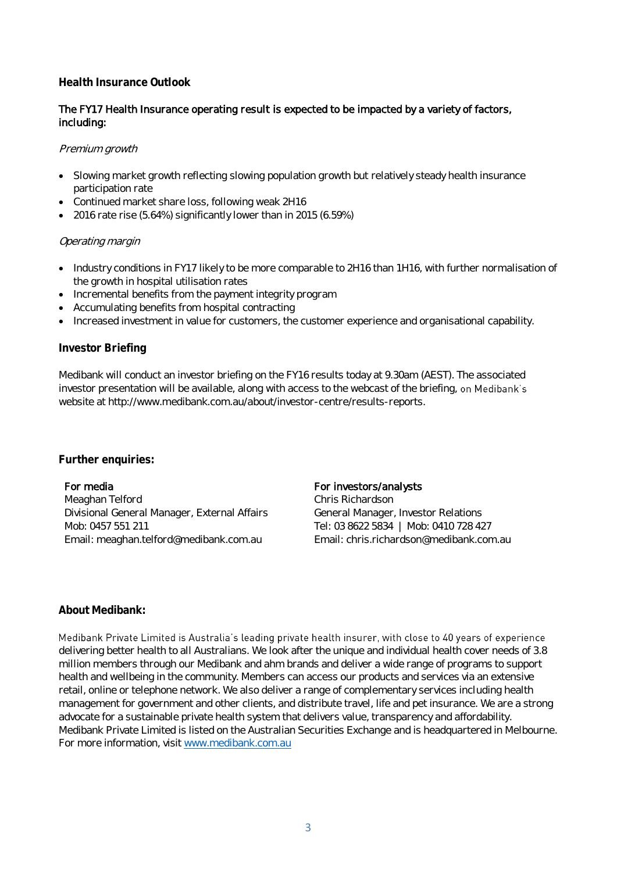#### **Health Insurance Outlook**

#### The FY17 Health Insurance operating result is expected to be impacted by a variety of factors, including:

#### Premium growth

- Slowing market growth reflecting slowing population growth but relatively steady health insurance participation rate
- Continued market share loss, following weak 2H16
- 2016 rate rise (5.64%) significantly lower than in 2015 (6.59%)

#### Operating margin

- Industry conditions in FY17 likely to be more comparable to 2H16 than 1H16, with further normalisation of the growth in hospital utilisation rates
- Incremental benefits from the payment integrity program
- Accumulating benefits from hospital contracting
- Increased investment in value for customers, the customer experience and organisational capability.

#### **Investor Briefing**

Medibank will conduct an investor briefing on the FY16 results today at 9.30am (AEST). The associated investor presentation will be available, along with access to the webcast of the briefing, on Medibank's website at [http://www.medibank.com.au/about/investor-centre/results-reports.](http://www.medibank.com.au/about/investor-centre/results-reports)

**Further enquiries:**

#### For media

Meaghan Telford Divisional General Manager, External Affairs Mob: 0457 551 211 Email: meaghan.telford@medibank.com.au

#### For investors/analysts

Chris Richardson General Manager, Investor Relations Tel: 03 8622 5834 | Mob: 0410 728 427 Email: chris.richardson@medibank.com.au

#### **About Medibank:**

Medibank Private Limited is Australia's leading private health insurer, with close to 40 years of experience delivering better health to all Australians. We look after the unique and individual health cover needs of 3.8 million members through our Medibank and ahm brands and deliver a wide range of programs to support health and wellbeing in the community. Members can access our products and services via an extensive retail, online or telephone network. We also deliver a range of complementary services including health management for government and other clients, and distribute travel, life and pet insurance. We are a strong advocate for a sustainable private health system that delivers value, transparency and affordability. Medibank Private Limited is listed on the Australian Securities Exchange and is headquartered in Melbourne. For more information, visit [www.medibank.com.au](http://www.medibank.com.au/)